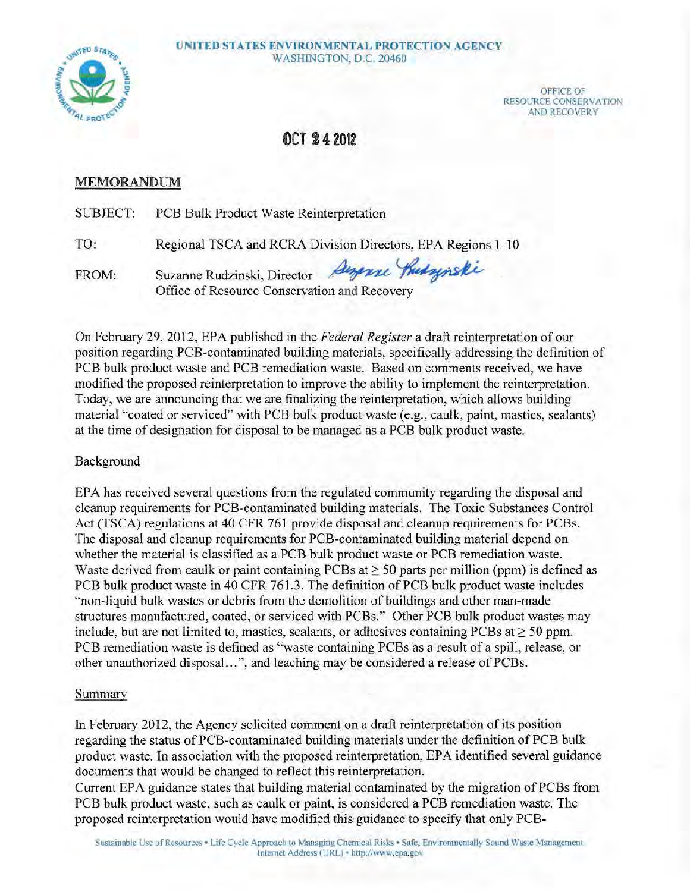

OFFICE OF RESOURCE CONSERVATION AND RECOVERY

# **OCT 24 2012**

## **MEMORANDUM**

SUBJECT: PCB Bulk Product Waste Reinterpretation

TO: Regional TSCA and RCRA Division Directors, EPA Regions 1-10

FROM: Suzanne Rudzinski, Office of Resource Conservation Vaste Reinterpretation<br>RCRA Division Directors, EPA Regions 1-10<br>Director *Angense Hudsynski*<br>Conservation and Recovery

On February 29, 2012, EPA published in the *Federal Register* a draft reinterpretation of our position regarding PCB-contaminated building materials, specifically addressing the definition of PCB bulk product waste and PCB remediation waste. Based on comments received, we have modified the proposed reinterpretation to improve the ability to implement the reinterpretation. Today, we are announcing that we are finalizing the reinterpretation, which allows building material "coated or serviced" with PCB bulk product waste (e.g., caulk, paint, mastics, sealants) at the time of designation for disposal to be managed as a PCB bulk product waste.

### Background

EPA has received several questions from the regulated community regarding the disposal and cleanup requirements for PCB-contaminated building materials. The Toxic Substances Control Act (TSCA) regulations at 40 CPR 761 provide disposal and cleanup requirements for PCBs. The disposal and cleanup requirements for PCB-contaminated building material depend on whether the material is classified as a PCB bulk product waste or PCB remediation waste. Waste derived from caulk or paint containing PCBs at  $\geq$  50 parts per million (ppm) is defined as PCB bulk product waste in 40 CFR 761.3. The definition of PCB bulk product waste includes "non-liquid bulk wastes or debris from the demolition of buildings and other man-made structures manufactured, coated, or serviced with PCBs." Other PCB bulk product wastes may include, but are not limited to, mastics, sealants, or adhesives containing PCBs at  $\geq$  50 ppm. PCB remediation waste is defined as "waste containing PCBs as a result of a spill, release, or other unauthorized disposal...", and leaching may be considered a release of PCBs.

## Summary

In Febmary 2012, the Agency solicited comment on a draft reinterpretation of its position regarding the status of PCB-contaminated building materials under the definition of PCB bulk product waste. In association with the proposed reinterpretation, EPA identified several guidance documents that would be changed to reflect this reinterpretation.

Current EPA guidance states that building material contaminated by the migration of PCBs from PCB bulk product waste, such as caulk or paint, is considered a PCB remediation waste. The proposed reinterpretation would have modified this guidance to specify that only PCB-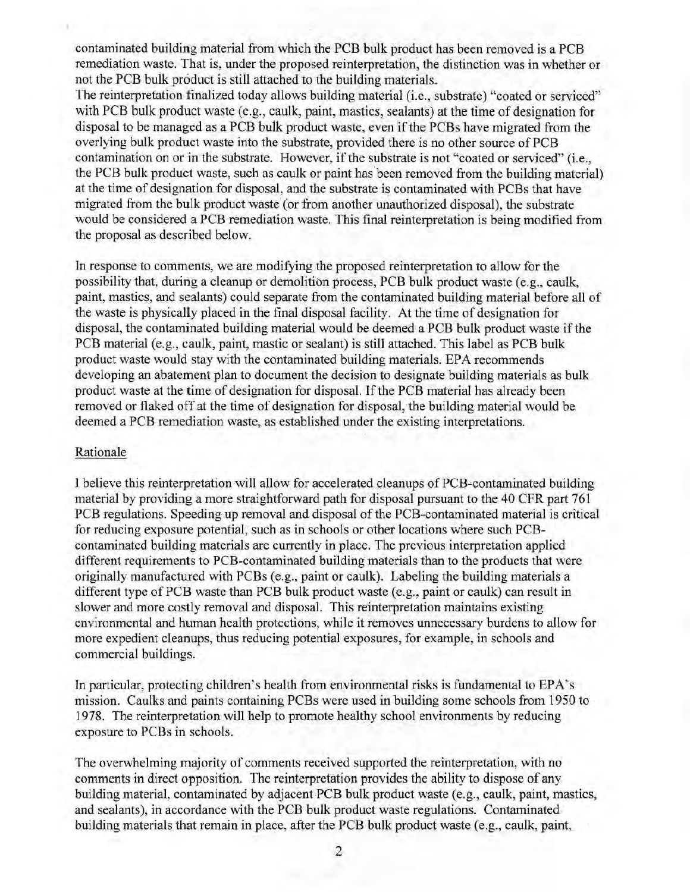contaminated building material from which the PCB bulk product has been removed is a PCB remediation waste. That is, under the proposed reinterpretation, the distinction was in whether or not the PCB bulk product is still attached to the building materials.

The reinterpretation finalized today allows building material (i.e., substrate) "coated or serviced" with PCB bulk product waste (e.g., caulk, paint, mastics, sealants) at the time of designation for disposal to be managed as a PCB bulk product waste, even if the PCBs have migrated from the overlying bulk product waste into the substrate, provided there is no other source of PCB contamination on or in the substrate. However, if the substrate is not "coated or serviced" (i.e., the PCB bulk product waste, such as caulk or paint has been removed from the building material) at the time of designation for disposal, and the substrate is contaminated with PCBs that have migrated from the bulk product waste (or from another unauthorized disposal), the substrate would be considered a PCB remediation waste. This final reinterpretation is being modified from the proposal as described below.

In response to comments, we are modifying the proposed reinterpretation to allow for the possibility that, during a cleanup or demolition process, PCB bulk product waste (e.g., caulk, paint, mastics, and sealants) could separate from the contaminated building material before all of the waste is physically placed ih the final disposal facility. At the time of designation for disposal, the contaminated building material would be deemed a PCB bulk product waste if the PCB material (e.g., caulk, paint, mastic or sealant) is still attached. This label as PCB bulk product waste would stay with the contaminated building materials. EPA recommends developing an abatement plan to document the decision to designate building materials as bulk product waste at the time of designation for disposal. If the PCB material has already been removed or flaked off at the time of designation for disposal, the building material would be deemed a PCB remediation waste, as established under the existing interpretations.

#### Rationale

I believe this reinterpretation will allow for accelerated cleanups of PCB-contaminated building material by providing a more straightforward path for disposal pursuant to the 40 CFR part 761 PCB regulations. Speeding up removal and disposal of the PCB-contaminated material is critical for reducing exposure potential, such as in schools or other locations where such PCBcontaminated building materials are currently in place. The previous interpretation applied different requirements to PCB-contaminated building materials than to the products that were originally manufactured with PCBs (e.g., paint or caulk). Labeling the building materials a different type of PCB waste than PCB bulk product waste (e.g., paint or caulk) can result in slower and more costly removal and disposal. This reinterpretation maintains existing environmental and human health protections, while it removes unnecessary burdens to allow for more expedient cleanups, thus reducing potential exposures, for example, in schools and commercial buildings.

In particular, protecting children's health from environmental risks is fundamental to EPA's mission. Caulks and paints containing PCBs were used in building some schools from 1950 to 1978. The reinterpretation will help to promote healthy school environments by reducing exposure to PCBs in schools.

The overwhelming majority of comments received supported the reinterpretation, with no comments in direct opposition. The reinterpretation provides the ability to dispose of any building material, contaminated by adjacent PCB bulk product waste (e.g., caulk, paint, mastics, and sealants), in accordance with the PCB bulk product waste regulations. Contaminated building materials that remain in place, after the PCB bulk product waste (e.g., caulk, paint,

2